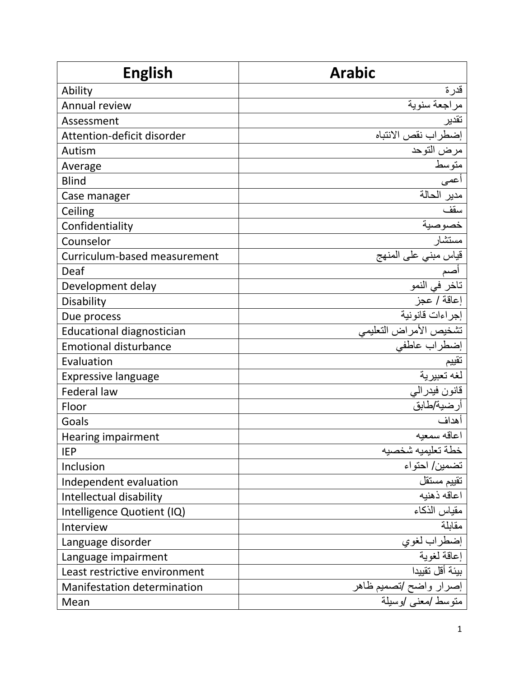| <b>English</b>                     | <b>Arabic</b>                                                                |
|------------------------------------|------------------------------------------------------------------------------|
| Ability                            | قدرة                                                                         |
| Annual review                      | مراجعة سنوية                                                                 |
| Assessment                         | تقدير                                                                        |
| Attention-deficit disorder         | إضطراب نقص الانتباه                                                          |
| Autism                             | مرض التوحد                                                                   |
| Average                            | متوسط                                                                        |
| <b>Blind</b>                       | أعمى                                                                         |
| Case manager                       | مدير الحالة                                                                  |
| Ceiling                            | سقف                                                                          |
| Confidentiality                    | خصوصية<br>مستشار                                                             |
| Counselor                          |                                                                              |
| Curriculum-based measurement       | قياس مبني على المنهج<br>أصم<br>تاخر في النمو                                 |
| Deaf                               |                                                                              |
| Development delay                  |                                                                              |
| Disability                         | إعاقة / عجز                                                                  |
| Due process                        | إجراءات قانونية                                                              |
| <b>Educational diagnostician</b>   | تشخيص الأمراض التعليمي                                                       |
| <b>Emotional disturbance</b>       | إضطراب عاطفي                                                                 |
| Evaluation                         |                                                                              |
| <b>Expressive language</b>         | تقييم<br>لغه تعبيري <u>ة</u>                                                 |
| <b>Federal law</b>                 | قانون فيدرالي                                                                |
| Floor                              | أرضية/طابق                                                                   |
| Goals                              | أهداف                                                                        |
| Hearing impairment                 | اعاقه سمعيه                                                                  |
| <b>IEP</b>                         | خطة تعليميه شخصيه                                                            |
| Inclusion                          | تضمين/ احتواء                                                                |
| Independent evaluation             | تقييم مستقل                                                                  |
| Intellectual disability            | اعاقه ذهنبه                                                                  |
| Intelligence Quotient (IQ)         | مقياس الذكاء                                                                 |
| Interview                          | مقابلة                                                                       |
| Language disorder                  | إضطراب لغوي                                                                  |
| Language impairment                | إعاقة لغوية                                                                  |
| Least restrictive environment      | بيئة أقل تقييدا                                                              |
| <b>Manifestation determination</b> | إصرار واضح <i>انص</i> مي <u>م ظاهر</u><br>منوسط <i>ام</i> عنى <i>ا</i> وسيلة |
| Mean                               |                                                                              |